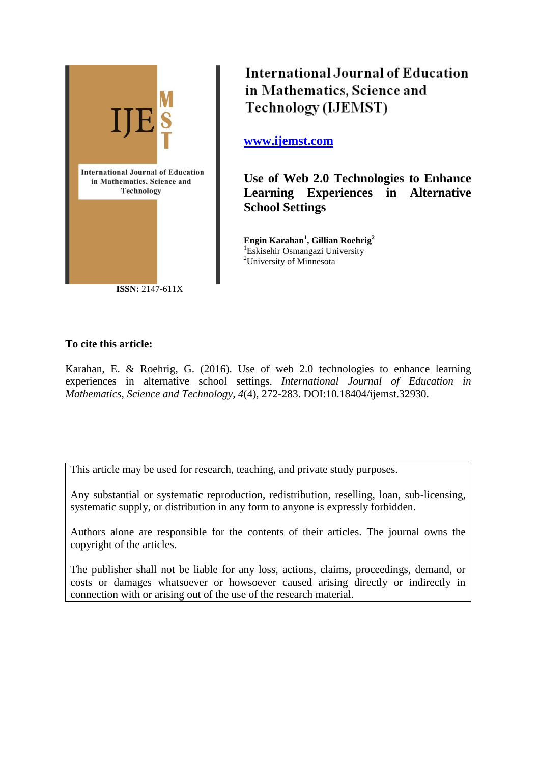

**International Journal of Education** in Mathematics, Science and Technology (IJEMST)

**[www.ijemst.com](http://www.ijemst.com/)**

**Use of Web 2.0 Technologies to Enhance Learning Experiences in Alternative School Settings**

**Engin Karahan<sup>1</sup> , Gillian Roehrig<sup>2</sup>** <sup>1</sup>Eskisehir Osmangazi University <sup>2</sup>University of Minnesota

# **To cite this article:**

Karahan, E. & Roehrig, G. (2016). Use of web 2.0 technologies to enhance learning experiences in alternative school settings. *International Journal of Education in Mathematics, Science and Technology, 4*(4), 272-283. DOI:10.18404/ijemst.32930.

This article may be used for research, teaching, and private study purposes.

Any substantial or systematic reproduction, redistribution, reselling, loan, sub-licensing, systematic supply, or distribution in any form to anyone is expressly forbidden.

Authors alone are responsible for the contents of their articles. The journal owns the copyright of the articles.

The publisher shall not be liable for any loss, actions, claims, proceedings, demand, or costs or damages whatsoever or howsoever caused arising directly or indirectly in connection with or arising out of the use of the research material.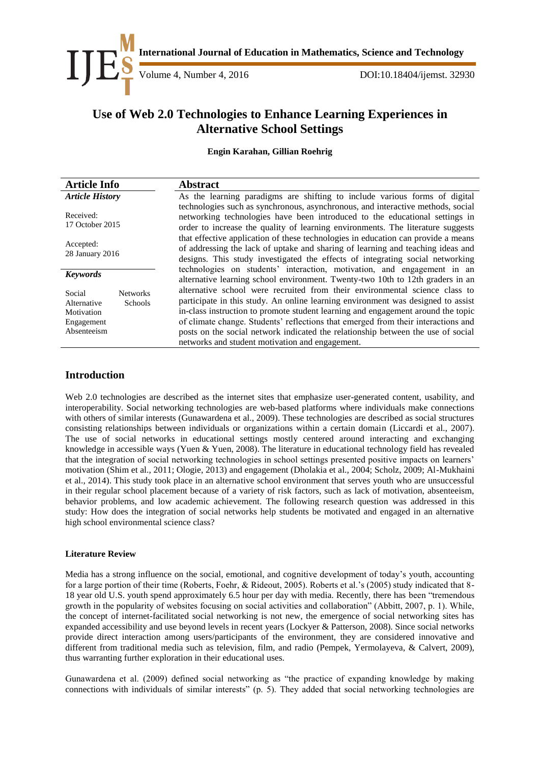

**International Journal of Education in Mathematics, Science and Technology**<br>Volume 4, Number 4, 2016<br>DOI:10.18404/ijemst. 329

DOI:10.18404/ijemst. 32930

# **Use of Web 2.0 Technologies to Enhance Learning Experiences in Alternative School Settings**

**Engin Karahan, Gillian Roehrig**

| <b>Article Info</b>                                                                            | <b>Abstract</b>                                                                                                                                                                                                                                                                                                                                                                                                                                                                 |  |  |
|------------------------------------------------------------------------------------------------|---------------------------------------------------------------------------------------------------------------------------------------------------------------------------------------------------------------------------------------------------------------------------------------------------------------------------------------------------------------------------------------------------------------------------------------------------------------------------------|--|--|
| <b>Article History</b>                                                                         | As the learning paradigms are shifting to include various forms of digital                                                                                                                                                                                                                                                                                                                                                                                                      |  |  |
| Received:<br>17 October 2015                                                                   | technologies such as synchronous, asynchronous, and interactive methods, social<br>networking technologies have been introduced to the educational settings in<br>order to increase the quality of learning environments. The literature suggests                                                                                                                                                                                                                               |  |  |
| Accepted:<br>28 January 2016                                                                   | that effective application of these technologies in education can provide a means<br>of addressing the lack of uptake and sharing of learning and teaching ideas and<br>designs. This study investigated the effects of integrating social networking                                                                                                                                                                                                                           |  |  |
| <b>Keywords</b>                                                                                | technologies on students' interaction, motivation, and engagement in an<br>alternative learning school environment. Twenty-two 10th to 12th graders in an                                                                                                                                                                                                                                                                                                                       |  |  |
| Social<br><b>Networks</b><br>Schools<br>Alternative<br>Motivation<br>Engagement<br>Absenteeism | alternative school were recruited from their environmental science class to<br>participate in this study. An online learning environment was designed to assist<br>in-class instruction to promote student learning and engagement around the topic<br>of climate change. Students' reflections that emerged from their interactions and<br>posts on the social network indicated the relationship between the use of social<br>networks and student motivation and engagement. |  |  |

## **Introduction**

Web 2.0 technologies are described as the internet sites that emphasize user-generated content, usability, and interoperability. Social networking technologies are web-based platforms where individuals make connections with others of similar interests (Gunawardena et al., 2009). These technologies are described as social structures consisting relationships between individuals or organizations within a certain domain (Liccardi et al., 2007). The use of social networks in educational settings mostly centered around interacting and exchanging knowledge in accessible ways (Yuen & Yuen, 2008). The literature in educational technology field has revealed that the integration of social networking technologies in school settings presented positive impacts on learners' motivation (Shim et al., 2011; Ologie, 2013) and engagement (Dholakia et al., 2004; Scholz, 2009; Al-Mukhaini et al., 2014). This study took place in an alternative school environment that serves youth who are unsuccessful in their regular school placement because of a variety of risk factors, such as lack of motivation, absenteeism, behavior problems, and low academic achievement. The following research question was addressed in this study: How does the integration of social networks help students be motivated and engaged in an alternative high school environmental science class?

#### **Literature Review**

Media has a strong influence on the social, emotional, and cognitive development of today's youth, accounting for a large portion of their time (Roberts, Foehr, & Rideout, 2005). Roberts et al.'s (2005) study indicated that 8- 18 year old U.S. youth spend approximately 6.5 hour per day with media. Recently, there has been "tremendous growth in the popularity of websites focusing on social activities and collaboration" (Abbitt, 2007, p. 1). While, the concept of internet-facilitated social networking is not new, the emergence of social networking sites has expanded accessibility and use beyond levels in recent years (Lockyer & Patterson, 2008). Since social networks provide direct interaction among users/participants of the environment, they are considered innovative and different from traditional media such as television, film, and radio (Pempek, Yermolayeva, & Calvert, 2009), thus warranting further exploration in their educational uses.

Gunawardena et al. (2009) defined social networking as "the practice of expanding knowledge by making connections with individuals of similar interests" (p. 5). They added that social networking technologies are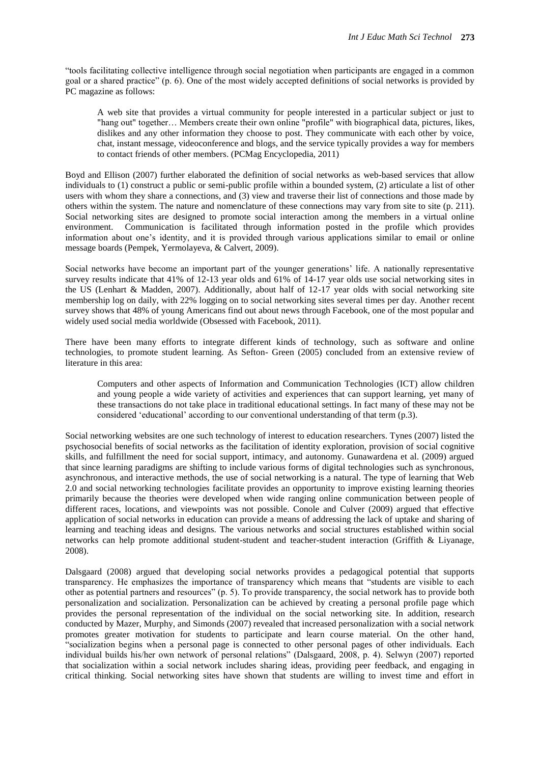"tools facilitating collective intelligence through social negotiation when participants are engaged in a common goal or a shared practice" (p. 6). One of the most widely accepted definitions of social networks is provided by PC magazine as follows:

A web site that provides a virtual community for people interested in a particular subject or just to "hang out" together… Members create their own online "profile" with biographical data, pictures, likes, dislikes and any other information they choose to post. They communicate with each other by voice, chat, instant message, videoconference and blogs, and the service typically provides a way for members to contact friends of other members. (PCMag Encyclopedia, 2011)

Boyd and Ellison (2007) further elaborated the definition of social networks as web-based services that allow individuals to (1) construct a public or semi-public profile within a bounded system, (2) articulate a list of other users with whom they share a connections, and (3) view and traverse their list of connections and those made by others within the system. The nature and nomenclature of these connections may vary from site to site (p. 211). Social networking sites are designed to promote social interaction among the members in a virtual online environment. Communication is facilitated through information posted in the profile which provides information about one's identity, and it is provided through various applications similar to email or online message boards (Pempek, Yermolayeva, & Calvert, 2009).

Social networks have become an important part of the younger generations' life. A nationally representative survey results indicate that 41% of 12-13 year olds and 61% of 14-17 year olds use social networking sites in the US (Lenhart & Madden, 2007). Additionally, about half of 12-17 year olds with social networking site membership log on daily, with 22% logging on to social networking sites several times per day. Another recent survey shows that 48% of young Americans find out about news through Facebook, one of the most popular and widely used social media worldwide (Obsessed with Facebook, 2011).

There have been many efforts to integrate different kinds of technology, such as software and online technologies, to promote student learning. As Sefton- Green (2005) concluded from an extensive review of literature in this area:

Computers and other aspects of Information and Communication Technologies (ICT) allow children and young people a wide variety of activities and experiences that can support learning, yet many of these transactions do not take place in traditional educational settings. In fact many of these may not be considered 'educational' according to our conventional understanding of that term (p.3).

Social networking websites are one such technology of interest to education researchers. Tynes (2007) listed the psychosocial benefits of social networks as the facilitation of identity exploration, provision of social cognitive skills, and fulfillment the need for social support, intimacy, and autonomy. Gunawardena et al. (2009) argued that since learning paradigms are shifting to include various forms of digital technologies such as synchronous, asynchronous, and interactive methods, the use of social networking is a natural. The type of learning that Web 2.0 and social networking technologies facilitate provides an opportunity to improve existing learning theories primarily because the theories were developed when wide ranging online communication between people of different races, locations, and viewpoints was not possible. Conole and Culver (2009) argued that effective application of social networks in education can provide a means of addressing the lack of uptake and sharing of learning and teaching ideas and designs. The various networks and social structures established within social networks can help promote additional student-student and teacher-student interaction (Griffith & Liyanage, 2008).

Dalsgaard (2008) argued that developing social networks provides a pedagogical potential that supports transparency. He emphasizes the importance of transparency which means that "students are visible to each other as potential partners and resources" (p. 5). To provide transparency, the social network has to provide both personalization and socialization. Personalization can be achieved by creating a personal profile page which provides the personal representation of the individual on the social networking site. In addition, research conducted by Mazer, Murphy, and Simonds (2007) revealed that increased personalization with a social network promotes greater motivation for students to participate and learn course material. On the other hand, "socialization begins when a personal page is connected to other personal pages of other individuals. Each individual builds his/her own network of personal relations" (Dalsgaard, 2008, p. 4). Selwyn (2007) reported that socialization within a social network includes sharing ideas, providing peer feedback, and engaging in critical thinking. Social networking sites have shown that students are willing to invest time and effort in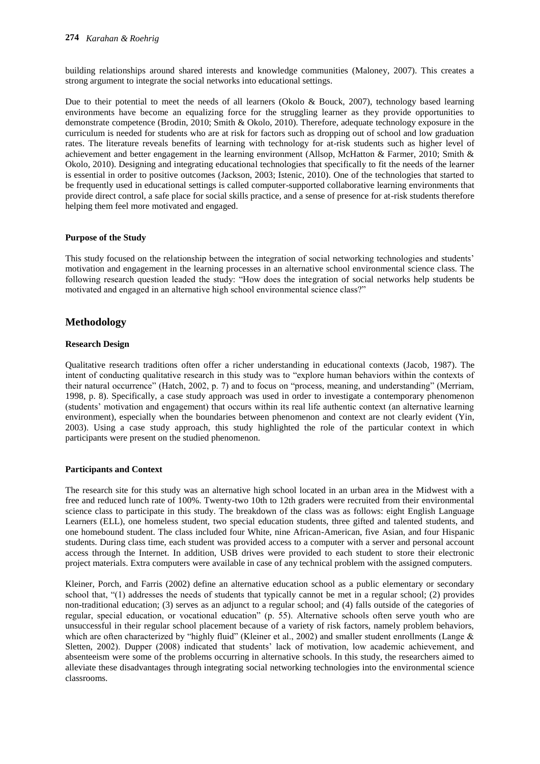building relationships around shared interests and knowledge communities (Maloney, 2007). This creates a strong argument to integrate the social networks into educational settings.

Due to their potential to meet the needs of all learners (Okolo & Bouck, 2007), technology based learning environments have become an equalizing force for the struggling learner as they provide opportunities to demonstrate competence (Brodin, 2010; Smith & Okolo, 2010). Therefore, adequate technology exposure in the curriculum is needed for students who are at risk for factors such as dropping out of school and low graduation rates. The literature reveals benefits of learning with technology for at-risk students such as higher level of achievement and better engagement in the learning environment (Allsop, McHatton & Farmer, 2010; Smith & Okolo, 2010). Designing and integrating educational technologies that specifically to fit the needs of the learner is essential in order to positive outcomes (Jackson, 2003; Istenic, 2010). One of the technologies that started to be frequently used in educational settings is called computer-supported collaborative learning environments that provide direct control, a safe place for social skills practice, and a sense of presence for at-risk students therefore helping them feel more motivated and engaged.

## **Purpose of the Study**

This study focused on the relationship between the integration of social networking technologies and students' motivation and engagement in the learning processes in an alternative school environmental science class. The following research question leaded the study: "How does the integration of social networks help students be motivated and engaged in an alternative high school environmental science class?"

## **Methodology**

## **Research Design**

Qualitative research traditions often offer a richer understanding in educational contexts (Jacob, 1987). The intent of conducting qualitative research in this study was to "explore human behaviors within the contexts of their natural occurrence" (Hatch, 2002, p. 7) and to focus on "process, meaning, and understanding" (Merriam, 1998, p. 8). Specifically, a case study approach was used in order to investigate a contemporary phenomenon (students' motivation and engagement) that occurs within its real life authentic context (an alternative learning environment), especially when the boundaries between phenomenon and context are not clearly evident (Yin, 2003). Using a case study approach, this study highlighted the role of the particular context in which participants were present on the studied phenomenon.

#### **Participants and Context**

The research site for this study was an alternative high school located in an urban area in the Midwest with a free and reduced lunch rate of 100%. Twenty-two 10th to 12th graders were recruited from their environmental science class to participate in this study. The breakdown of the class was as follows: eight English Language Learners (ELL), one homeless student, two special education students, three gifted and talented students, and one homebound student. The class included four White, nine African-American, five Asian, and four Hispanic students. During class time, each student was provided access to a computer with a server and personal account access through the Internet. In addition, USB drives were provided to each student to store their electronic project materials. Extra computers were available in case of any technical problem with the assigned computers.

Kleiner, Porch, and Farris (2002) define an alternative education school as a public elementary or secondary school that, "(1) addresses the needs of students that typically cannot be met in a regular school; (2) provides non-traditional education; (3) serves as an adjunct to a regular school; and (4) falls outside of the categories of regular, special education, or vocational education" (p. 55). Alternative schools often serve youth who are unsuccessful in their regular school placement because of a variety of risk factors, namely problem behaviors, which are often characterized by "highly fluid" (Kleiner et al., 2002) and smaller student enrollments (Lange & Sletten, 2002). Dupper (2008) indicated that students' lack of motivation, low academic achievement, and absenteeism were some of the problems occurring in alternative schools. In this study, the researchers aimed to alleviate these disadvantages through integrating social networking technologies into the environmental science classrooms.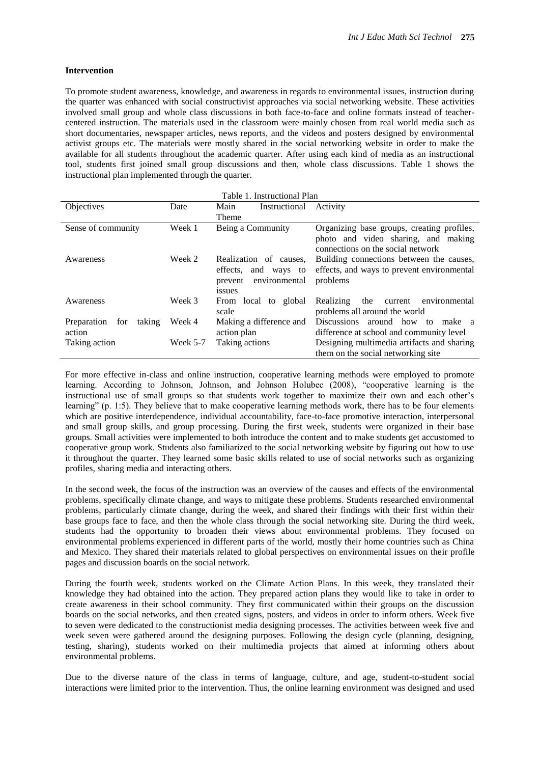#### **Intervention**

To promote student awareness, knowledge, and awareness in regards to environmental issues, instruction during the quarter was enhanced with social constructivist approaches via social networking website. These activities involved small group and whole class discussions in both face-to-face and online formats instead of teachercentered instruction. The materials used in the classroom were mainly chosen from real world media such as short documentaries, newspaper articles, news reports, and the videos and posters designed by environmental activist groups etc. The materials were mostly shared in the social networking website in order to make the available for all students throughout the academic quarter. After using each kind of media as an instructional tool, students first joined small group discussions and then, whole class discussions. Table 1 shows the instructional plan implemented through the quarter.

| Table 1. Instructional Plan  |            |                          |                                              |  |
|------------------------------|------------|--------------------------|----------------------------------------------|--|
| Objectives                   | Date       | Instructional<br>Main    | Activity                                     |  |
|                              |            | <b>Theme</b>             |                                              |  |
| Sense of community           | Week 1     | Being a Community        | Organizing base groups, creating profiles,   |  |
|                              |            |                          | photo and video sharing, and making          |  |
|                              |            |                          | connections on the social network            |  |
| Awareness                    | Week 2     | Realization of causes,   | Building connections between the causes,     |  |
|                              |            | effects, and ways to     | effects, and ways to prevent environmental   |  |
|                              |            | environmental<br>prevent | problems                                     |  |
|                              |            | <i>issues</i>            |                                              |  |
| Awareness                    | Week 3     | From local to global     | Realizing<br>the<br>environmental<br>current |  |
|                              |            | scale                    | problems all around the world                |  |
| Preparation<br>for<br>taking | Week 4     | Making a difference and  | Discussions around how to<br>make a          |  |
| action                       |            | action plan              | difference at school and community level     |  |
| Taking action                | Week $5-7$ | Taking actions           | Designing multimedia artifacts and sharing   |  |
|                              |            |                          | them on the social networking site           |  |

For more effective in-class and online instruction, cooperative learning methods were employed to promote learning. According to Johnson, Johnson, and Johnson Holubec (2008), "cooperative learning is the instructional use of small groups so that students work together to maximize their own and each other's learning" (p. 1:5). They believe that to make cooperative learning methods work, there has to be four elements which are positive interdependence, individual accountability, face-to-face promotive interaction, interpersonal and small group skills, and group processing. During the first week, students were organized in their base groups. Small activities were implemented to both introduce the content and to make students get accustomed to cooperative group work. Students also familiarized to the social networking website by figuring out how to use it throughout the quarter. They learned some basic skills related to use of social networks such as organizing profiles, sharing media and interacting others.

In the second week, the focus of the instruction was an overview of the causes and effects of the environmental problems, specifically climate change, and ways to mitigate these problems. Students researched environmental problems, particularly climate change, during the week, and shared their findings with their first within their base groups face to face, and then the whole class through the social networking site. During the third week, students had the opportunity to broaden their views about environmental problems. They focused on environmental problems experienced in different parts of the world, mostly their home countries such as China and Mexico. They shared their materials related to global perspectives on environmental issues on their profile pages and discussion boards on the social network.

During the fourth week, students worked on the Climate Action Plans. In this week, they translated their knowledge they had obtained into the action. They prepared action plans they would like to take in order to create awareness in their school community. They first communicated within their groups on the discussion boards on the social networks, and then created signs, posters, and videos in order to inform others. Week five to seven were dedicated to the constructionist media designing processes. The activities between week five and week seven were gathered around the designing purposes. Following the design cycle (planning, designing, testing, sharing), students worked on their multimedia projects that aimed at informing others about environmental problems.

Due to the diverse nature of the class in terms of language, culture, and age, student-to-student social interactions were limited prior to the intervention. Thus, the online learning environment was designed and used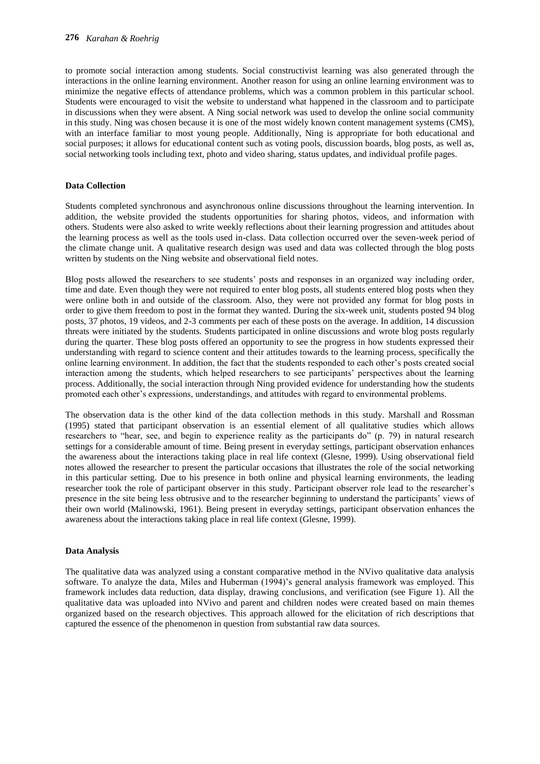to promote social interaction among students. Social constructivist learning was also generated through the interactions in the online learning environment. Another reason for using an online learning environment was to minimize the negative effects of attendance problems, which was a common problem in this particular school. Students were encouraged to visit the website to understand what happened in the classroom and to participate in discussions when they were absent. A Ning social network was used to develop the online social community in this study. Ning was chosen because it is one of the most widely known content management systems (CMS), with an interface familiar to most young people. Additionally, Ning is appropriate for both educational and social purposes; it allows for educational content such as voting pools, discussion boards, blog posts, as well as, social networking tools including text, photo and video sharing, status updates, and individual profile pages.

#### **Data Collection**

Students completed synchronous and asynchronous online discussions throughout the learning intervention. In addition, the website provided the students opportunities for sharing photos, videos, and information with others. Students were also asked to write weekly reflections about their learning progression and attitudes about the learning process as well as the tools used in-class. Data collection occurred over the seven-week period of the climate change unit. A qualitative research design was used and data was collected through the blog posts written by students on the Ning website and observational field notes.

Blog posts allowed the researchers to see students' posts and responses in an organized way including order, time and date. Even though they were not required to enter blog posts, all students entered blog posts when they were online both in and outside of the classroom. Also, they were not provided any format for blog posts in order to give them freedom to post in the format they wanted. During the six-week unit, students posted 94 blog posts, 37 photos, 19 videos, and 2-3 comments per each of these posts on the average. In addition, 14 discussion threats were initiated by the students. Students participated in online discussions and wrote blog posts regularly during the quarter. These blog posts offered an opportunity to see the progress in how students expressed their understanding with regard to science content and their attitudes towards to the learning process, specifically the online learning environment. In addition, the fact that the students responded to each other's posts created social interaction among the students, which helped researchers to see participants' perspectives about the learning process. Additionally, the social interaction through Ning provided evidence for understanding how the students promoted each other's expressions, understandings, and attitudes with regard to environmental problems.

The observation data is the other kind of the data collection methods in this study. Marshall and Rossman (1995) stated that participant observation is an essential element of all qualitative studies which allows researchers to "hear, see, and begin to experience reality as the participants do" (p. 79) in natural research settings for a considerable amount of time. Being present in everyday settings, participant observation enhances the awareness about the interactions taking place in real life context (Glesne, 1999). Using observational field notes allowed the researcher to present the particular occasions that illustrates the role of the social networking in this particular setting. Due to his presence in both online and physical learning environments, the leading researcher took the role of participant observer in this study. Participant observer role lead to the researcher's presence in the site being less obtrusive and to the researcher beginning to understand the participants' views of their own world (Malinowski, 1961). Being present in everyday settings, participant observation enhances the awareness about the interactions taking place in real life context (Glesne, 1999).

#### **Data Analysis**

The qualitative data was analyzed using a constant comparative method in the NVivo qualitative data analysis software. To analyze the data, Miles and Huberman (1994)'s general analysis framework was employed. This framework includes data reduction, data display, drawing conclusions, and verification (see Figure 1). All the qualitative data was uploaded into NVivo and parent and children nodes were created based on main themes organized based on the research objectives. This approach allowed for the elicitation of rich descriptions that captured the essence of the phenomenon in question from substantial raw data sources.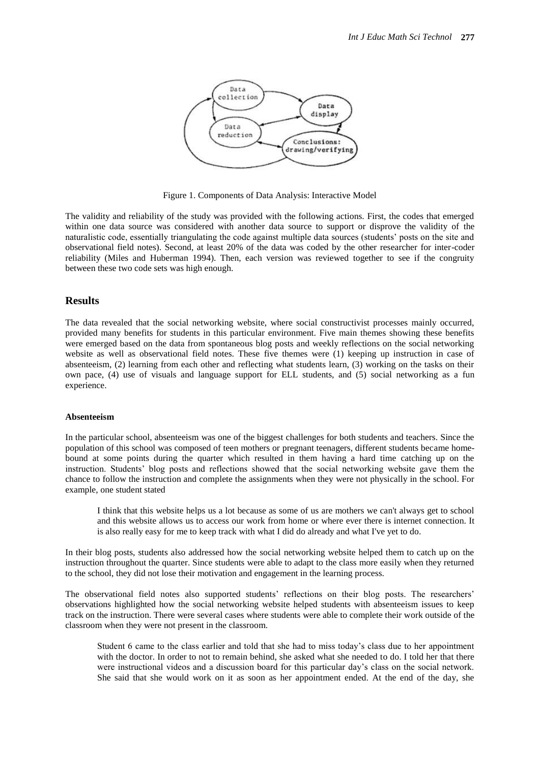

Figure 1. Components of Data Analysis: Interactive Model

The validity and reliability of the study was provided with the following actions. First, the codes that emerged within one data source was considered with another data source to support or disprove the validity of the naturalistic code, essentially triangulating the code against multiple data sources (students' posts on the site and observational field notes). Second, at least 20% of the data was coded by the other researcher for inter-coder reliability (Miles and Huberman 1994). Then, each version was reviewed together to see if the congruity between these two code sets was high enough.

### **Results**

The data revealed that the social networking website, where social constructivist processes mainly occurred, provided many benefits for students in this particular environment. Five main themes showing these benefits were emerged based on the data from spontaneous blog posts and weekly reflections on the social networking website as well as observational field notes. These five themes were (1) keeping up instruction in case of absenteeism, (2) learning from each other and reflecting what students learn, (3) working on the tasks on their own pace, (4) use of visuals and language support for ELL students, and (5) social networking as a fun experience.

#### **Absenteeism**

In the particular school, absenteeism was one of the biggest challenges for both students and teachers. Since the population of this school was composed of teen mothers or pregnant teenagers, different students became homebound at some points during the quarter which resulted in them having a hard time catching up on the instruction. Students' blog posts and reflections showed that the social networking website gave them the chance to follow the instruction and complete the assignments when they were not physically in the school. For example, one student stated

I think that this website helps us a lot because as some of us are mothers we can't always get to school and this website allows us to access our work from home or where ever there is internet connection. It is also really easy for me to keep track with what I did do already and what I've yet to do.

In their blog posts, students also addressed how the social networking website helped them to catch up on the instruction throughout the quarter. Since students were able to adapt to the class more easily when they returned to the school, they did not lose their motivation and engagement in the learning process.

The observational field notes also supported students' reflections on their blog posts. The researchers' observations highlighted how the social networking website helped students with absenteeism issues to keep track on the instruction. There were several cases where students were able to complete their work outside of the classroom when they were not present in the classroom.

Student 6 came to the class earlier and told that she had to miss today's class due to her appointment with the doctor. In order to not to remain behind, she asked what she needed to do. I told her that there were instructional videos and a discussion board for this particular day's class on the social network. She said that she would work on it as soon as her appointment ended. At the end of the day, she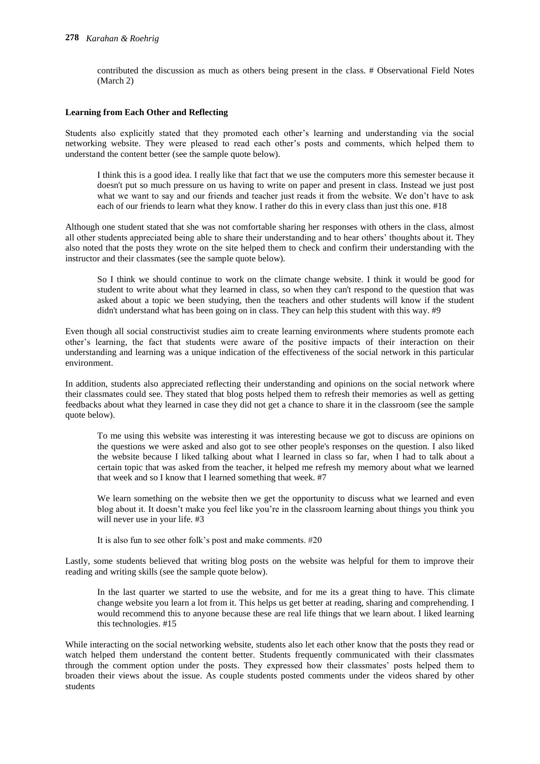contributed the discussion as much as others being present in the class. # Observational Field Notes (March 2)

#### **Learning from Each Other and Reflecting**

Students also explicitly stated that they promoted each other's learning and understanding via the social networking website. They were pleased to read each other's posts and comments, which helped them to understand the content better (see the sample quote below).

I think this is a good idea. I really like that fact that we use the computers more this semester because it doesn't put so much pressure on us having to write on paper and present in class. Instead we just post what we want to say and our friends and teacher just reads it from the website. We don't have to ask each of our friends to learn what they know. I rather do this in every class than just this one. #18

Although one student stated that she was not comfortable sharing her responses with others in the class, almost all other students appreciated being able to share their understanding and to hear others' thoughts about it. They also noted that the posts they wrote on the site helped them to check and confirm their understanding with the instructor and their classmates (see the sample quote below).

So I think we should continue to work on the climate change website. I think it would be good for student to write about what they learned in class, so when they can't respond to the question that was asked about a topic we been studying, then the teachers and other students will know if the student didn't understand what has been going on in class. They can help this student with this way. #9

Even though all social constructivist studies aim to create learning environments where students promote each other's learning, the fact that students were aware of the positive impacts of their interaction on their understanding and learning was a unique indication of the effectiveness of the social network in this particular environment.

In addition, students also appreciated reflecting their understanding and opinions on the social network where their classmates could see. They stated that blog posts helped them to refresh their memories as well as getting feedbacks about what they learned in case they did not get a chance to share it in the classroom (see the sample quote below).

To me using this website was interesting it was interesting because we got to discuss are opinions on the questions we were asked and also got to see other people's responses on the question. I also liked the website because I liked talking about what I learned in class so far, when I had to talk about a certain topic that was asked from the teacher, it helped me refresh my memory about what we learned that week and so I know that I learned something that week. #7

We learn something on the website then we get the opportunity to discuss what we learned and even blog about it. It doesn't make you feel like you're in the classroom learning about things you think you will never use in your life. #3

It is also fun to see other folk's post and make comments. #20

Lastly, some students believed that writing blog posts on the website was helpful for them to improve their reading and writing skills (see the sample quote below).

In the last quarter we started to use the website, and for me its a great thing to have. This climate change website you learn a lot from it. This helps us get better at reading, sharing and comprehending. I would recommend this to anyone because these are real life things that we learn about. I liked learning this technologies. #15

While interacting on the social networking website, students also let each other know that the posts they read or watch helped them understand the content better. Students frequently communicated with their classmates through the comment option under the posts. They expressed how their classmates' posts helped them to broaden their views about the issue. As couple students posted comments under the videos shared by other students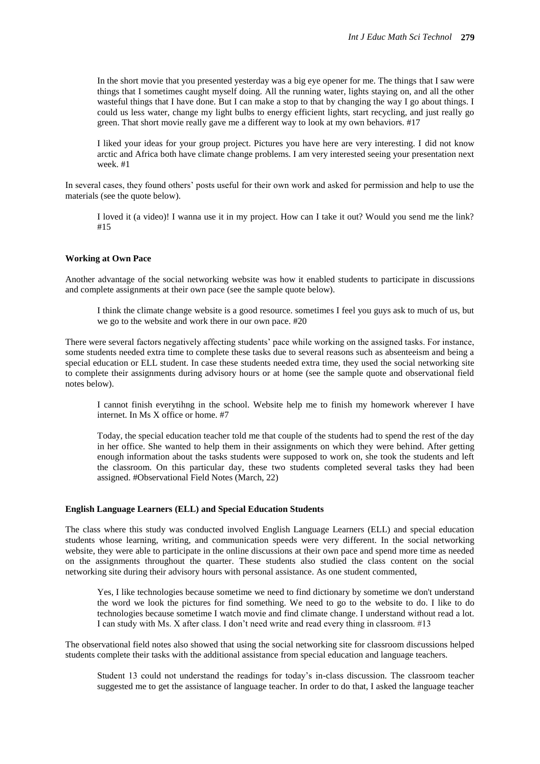In the short movie that you presented yesterday was a big eye opener for me. The things that I saw were things that I sometimes caught myself doing. All the running water, lights staying on, and all the other wasteful things that I have done. But I can make a stop to that by changing the way I go about things. I could us less water, change my light bulbs to energy efficient lights, start recycling, and just really go green. That short movie really gave me a different way to look at my own behaviors. #17

I liked your ideas for your group project. Pictures you have here are very interesting. I did not know arctic and Africa both have climate change problems. I am very interested seeing your presentation next week. #1

In several cases, they found others' posts useful for their own work and asked for permission and help to use the materials (see the quote below).

I loved it (a video)! I wanna use it in my project. How can I take it out? Would you send me the link? #15

#### **Working at Own Pace**

Another advantage of the social networking website was how it enabled students to participate in discussions and complete assignments at their own pace (see the sample quote below).

I think the climate change website is a good resource. sometimes I feel you guys ask to much of us, but we go to the website and work there in our own pace. #20

There were several factors negatively affecting students' pace while working on the assigned tasks. For instance, some students needed extra time to complete these tasks due to several reasons such as absenteeism and being a special education or ELL student. In case these students needed extra time, they used the social networking site to complete their assignments during advisory hours or at home (see the sample quote and observational field notes below).

I cannot finish everytihng in the school. Website help me to finish my homework wherever I have internet. In Ms X office or home. #7

Today, the special education teacher told me that couple of the students had to spend the rest of the day in her office. She wanted to help them in their assignments on which they were behind. After getting enough information about the tasks students were supposed to work on, she took the students and left the classroom. On this particular day, these two students completed several tasks they had been assigned. #Observational Field Notes (March, 22)

#### **English Language Learners (ELL) and Special Education Students**

The class where this study was conducted involved English Language Learners (ELL) and special education students whose learning, writing, and communication speeds were very different. In the social networking website, they were able to participate in the online discussions at their own pace and spend more time as needed on the assignments throughout the quarter. These students also studied the class content on the social networking site during their advisory hours with personal assistance. As one student commented,

Yes, I like technologies because sometime we need to find dictionary by sometime we don't understand the word we look the pictures for find something. We need to go to the website to do. I like to do technologies because sometime I watch movie and find climate change. I understand without read a lot. I can study with Ms. X after class. I don't need write and read every thing in classroom. #13

The observational field notes also showed that using the social networking site for classroom discussions helped students complete their tasks with the additional assistance from special education and language teachers.

Student 13 could not understand the readings for today's in-class discussion. The classroom teacher suggested me to get the assistance of language teacher. In order to do that, I asked the language teacher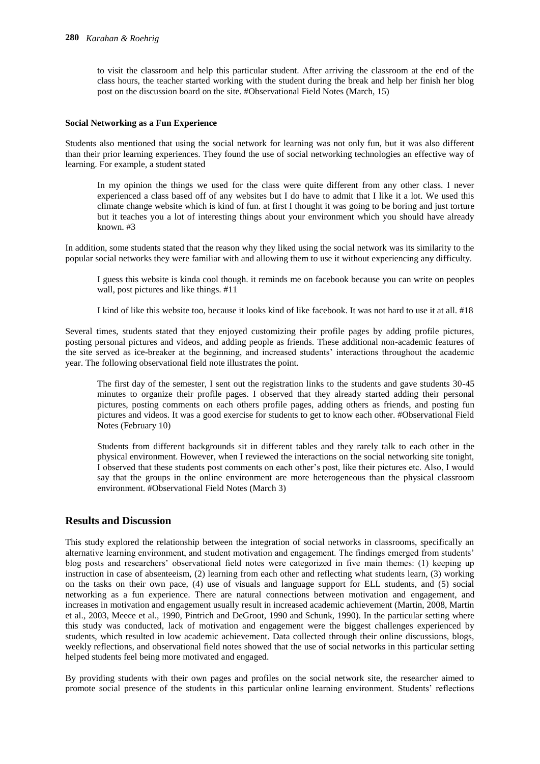to visit the classroom and help this particular student. After arriving the classroom at the end of the class hours, the teacher started working with the student during the break and help her finish her blog post on the discussion board on the site. #Observational Field Notes (March, 15)

#### **Social Networking as a Fun Experience**

Students also mentioned that using the social network for learning was not only fun, but it was also different than their prior learning experiences. They found the use of social networking technologies an effective way of learning. For example, a student stated

In my opinion the things we used for the class were quite different from any other class. I never experienced a class based off of any websites but I do have to admit that I like it a lot. We used this climate change website which is kind of fun. at first I thought it was going to be boring and just torture but it teaches you a lot of interesting things about your environment which you should have already known. #3

In addition, some students stated that the reason why they liked using the social network was its similarity to the popular social networks they were familiar with and allowing them to use it without experiencing any difficulty.

I guess this website is kinda cool though. it reminds me on facebook because you can write on peoples wall, post pictures and like things. #11

I kind of like this website too, because it looks kind of like facebook. It was not hard to use it at all. #18

Several times, students stated that they enjoyed customizing their profile pages by adding profile pictures, posting personal pictures and videos, and adding people as friends. These additional non-academic features of the site served as ice-breaker at the beginning, and increased students' interactions throughout the academic year. The following observational field note illustrates the point.

The first day of the semester, I sent out the registration links to the students and gave students 30-45 minutes to organize their profile pages. I observed that they already started adding their personal pictures, posting comments on each others profile pages, adding others as friends, and posting fun pictures and videos. It was a good exercise for students to get to know each other. #Observational Field Notes (February 10)

Students from different backgrounds sit in different tables and they rarely talk to each other in the physical environment. However, when I reviewed the interactions on the social networking site tonight, I observed that these students post comments on each other's post, like their pictures etc. Also, I would say that the groups in the online environment are more heterogeneous than the physical classroom environment. #Observational Field Notes (March 3)

### **Results and Discussion**

This study explored the relationship between the integration of social networks in classrooms, specifically an alternative learning environment, and student motivation and engagement. The findings emerged from students' blog posts and researchers' observational field notes were categorized in five main themes: (1) keeping up instruction in case of absenteeism, (2) learning from each other and reflecting what students learn, (3) working on the tasks on their own pace, (4) use of visuals and language support for ELL students, and (5) social networking as a fun experience. There are natural connections between motivation and engagement, and increases in motivation and engagement usually result in increased academic achievement (Martin, 2008, Martin et al., 2003, Meece et al., 1990, Pintrich and DeGroot, 1990 and Schunk, 1990). In the particular setting where this study was conducted, lack of motivation and engagement were the biggest challenges experienced by students, which resulted in low academic achievement. Data collected through their online discussions, blogs, weekly reflections, and observational field notes showed that the use of social networks in this particular setting helped students feel being more motivated and engaged.

By providing students with their own pages and profiles on the social network site, the researcher aimed to promote social presence of the students in this particular online learning environment. Students' reflections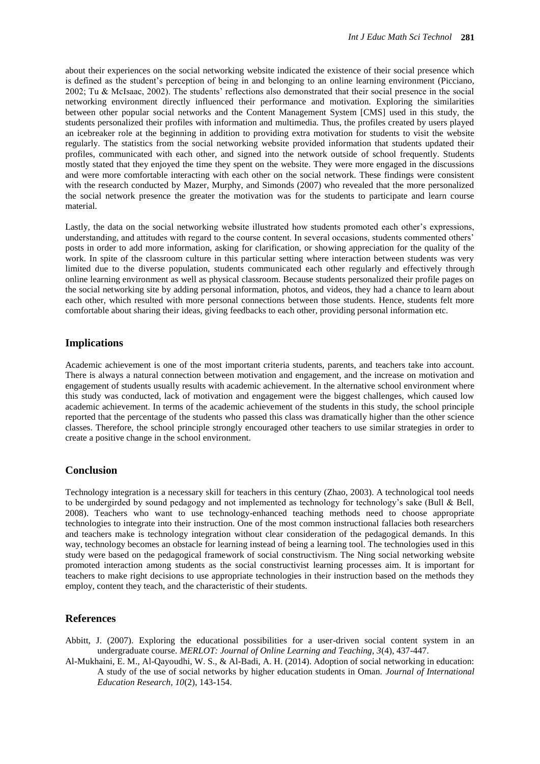about their experiences on the social networking website indicated the existence of their social presence which is defined as the student's perception of being in and belonging to an online learning environment (Picciano, 2002; Tu & McIsaac, 2002). The students' reflections also demonstrated that their social presence in the social networking environment directly influenced their performance and motivation. Exploring the similarities between other popular social networks and the Content Management System [CMS] used in this study, the students personalized their profiles with information and multimedia. Thus, the profiles created by users played an icebreaker role at the beginning in addition to providing extra motivation for students to visit the website regularly. The statistics from the social networking website provided information that students updated their profiles, communicated with each other, and signed into the network outside of school frequently. Students mostly stated that they enjoyed the time they spent on the website. They were more engaged in the discussions and were more comfortable interacting with each other on the social network. These findings were consistent with the research conducted by Mazer, Murphy, and Simonds (2007) who revealed that the more personalized the social network presence the greater the motivation was for the students to participate and learn course material.

Lastly, the data on the social networking website illustrated how students promoted each other's expressions, understanding, and attitudes with regard to the course content. In several occasions, students commented others' posts in order to add more information, asking for clarification, or showing appreciation for the quality of the work. In spite of the classroom culture in this particular setting where interaction between students was very limited due to the diverse population, students communicated each other regularly and effectively through online learning environment as well as physical classroom. Because students personalized their profile pages on the social networking site by adding personal information, photos, and videos, they had a chance to learn about each other, which resulted with more personal connections between those students. Hence, students felt more comfortable about sharing their ideas, giving feedbacks to each other, providing personal information etc.

## **Implications**

Academic achievement is one of the most important criteria students, parents, and teachers take into account. There is always a natural connection between motivation and engagement, and the increase on motivation and engagement of students usually results with academic achievement. In the alternative school environment where this study was conducted, lack of motivation and engagement were the biggest challenges, which caused low academic achievement. In terms of the academic achievement of the students in this study, the school principle reported that the percentage of the students who passed this class was dramatically higher than the other science classes. Therefore, the school principle strongly encouraged other teachers to use similar strategies in order to create a positive change in the school environment.

## **Conclusion**

Technology integration is a necessary skill for teachers in this century (Zhao, 2003). A technological tool needs to be undergirded by sound pedagogy and not implemented as technology for technology's sake (Bull & Bell, 2008). Teachers who want to use technology-enhanced teaching methods need to choose appropriate technologies to integrate into their instruction. One of the most common instructional fallacies both researchers and teachers make is technology integration without clear consideration of the pedagogical demands. In this way, technology becomes an obstacle for learning instead of being a learning tool. The technologies used in this study were based on the pedagogical framework of social constructivism. The Ning social networking website promoted interaction among students as the social constructivist learning processes aim. It is important for teachers to make right decisions to use appropriate technologies in their instruction based on the methods they employ, content they teach, and the characteristic of their students.

#### **References**

Abbitt, J. (2007). Exploring the educational possibilities for a user-driven social content system in an undergraduate course. *MERLOT: Journal of Online Learning and Teaching, 3*(4), 437-447.

Al-Mukhaini, E. M., Al-Qayoudhi, W. S., & Al-Badi, A. H. (2014). Adoption of social networking in education: A study of the use of social networks by higher education students in Oman. *Journal of International Education Research, 10*(2), 143-154.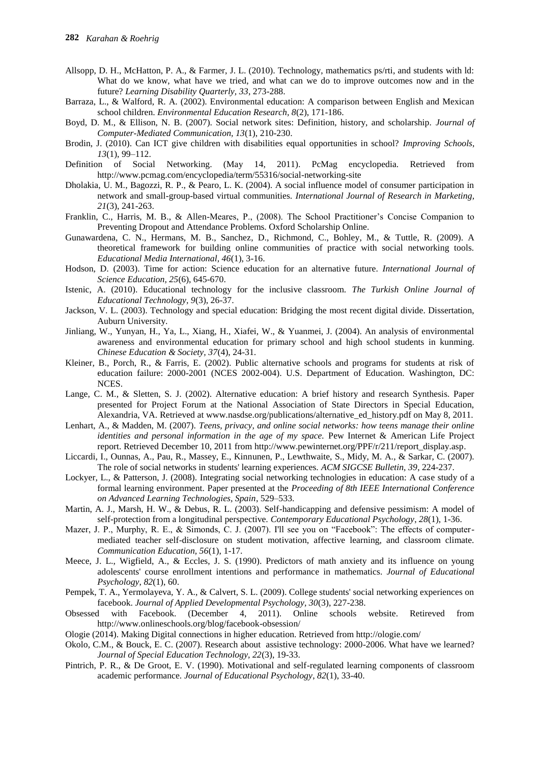- Allsopp, D. H., McHatton, P. A., & Farmer, J. L. (2010). Technology, mathematics ps/rti, and students with ld: What do we know, what have we tried, and what can we do to improve outcomes now and in the future? *Learning Disability Quarterly, 33*, 273-288.
- Barraza, L., & Walford, R. A. (2002). Environmental education: A comparison between English and Mexican school children. *Environmental Education Research, 8*(2), 171-186.
- Boyd, D. M., & Ellison, N. B. (2007). Social network sites: Definition, history, and scholarship. *Journal of Computer-Mediated Communication, 13*(1), 210-230.
- Brodin, J. (2010). Can ICT give children with disabilities equal opportunities in school? *Improving Schools*, *13*(1), 99–112.
- Definition of Social Networking. (May 14, 2011). PcMag encyclopedia. Retrieved from http://www.pcmag.com/encyclopedia/term/55316/social-networking-site
- Dholakia, U. M., Bagozzi, R. P., & Pearo, L. K. (2004). A social influence model of consumer participation in network and small-group-based virtual communities. *International Journal of Research in Marketing, 21*(3), 241-263.
- Franklin, C., Harris, M. B., & Allen-Meares, P., (2008). The School Practitioner's Concise Companion to Preventing Dropout and Attendance Problems. Oxford Scholarship Online.
- Gunawardena, C. N., Hermans, M. B., Sanchez, D., Richmond, C., Bohley, M., & Tuttle, R. (2009). A theoretical framework for building online communities of practice with social networking tools. *Educational Media International, 46*(1), 3-16.
- Hodson, D. (2003). Time for action: Science education for an alternative future. *International Journal of Science Education, 25*(6), 645-670.
- Istenic, A. (2010). Educational technology for the inclusive classroom. *The Turkish Online Journal of Educational Technology, 9*(3), 26-37.
- Jackson, V. L. (2003). Technology and special education: Bridging the most recent digital divide. Dissertation, Auburn University.
- Jinliang, W., Yunyan, H., Ya, L., Xiang, H., Xiafei, W., & Yuanmei, J. (2004). An analysis of environmental awareness and environmental education for primary school and high school students in kunming. *Chinese Education & Society, 37*(4), 24-31.
- Kleiner, B., Porch, R., & Farris, E. (2002). Public alternative schools and programs for students at risk of education failure: 2000-2001 (NCES 2002-004). U.S. Department of Education. Washington, DC: NCES.
- Lange, C. M., & Sletten, S. J. (2002). Alternative education: A brief history and research Synthesis. Paper presented for Project Forum at the National Association of State Directors in Special Education, Alexandria, VA. Retrieved at www.nasdse.org/publications/alternative ed history.pdf on May 8, 2011.
- Lenhart, A., & Madden, M. (2007). *Teens, privacy, and online social networks: how teens manage their online identities and personal information in the age of my space.* Pew Internet & American Life Project report. Retrieved December 10, 2011 fro[m http://www.pewinternet.org/PPF/r/211/report\\_display.asp.](http://www.pewinternet.org/PPF/r/211/report_display.asp)
- Liccardi, I., Ounnas, A., Pau, R., Massey, E., Kinnunen, P., Lewthwaite, S., Midy, M. A., & Sarkar, C. (2007). The role of social networks in students' learning experiences. *ACM SIGCSE Bulletin, 39*, 224-237.
- Lockyer, L., & Patterson, J. (2008). Integrating social networking technologies in education: A case study of a formal learning environment. Paper presented at the *Proceeding of 8th IEEE International Conference on Advanced Learning Technologies, Spain*, 529–533.
- Martin, A. J., Marsh, H. W., & Debus, R. L. (2003). Self-handicapping and defensive pessimism: A model of self-protection from a longitudinal perspective. *Contemporary Educational Psychology*, *28*(1), 1-36.
- Mazer, J. P., Murphy, R. E., & Simonds, C. J. (2007). I'll see you on "Facebook": The effects of computermediated teacher self-disclosure on student motivation, affective learning, and classroom climate. *Communication Education, 56*(1), 1-17.
- Meece, J. L., Wigfield, A., & Eccles, J. S. (1990). Predictors of math anxiety and its influence on young adolescents' course enrollment intentions and performance in mathematics. *Journal of Educational Psychology*, *82*(1), 60.
- Pempek, T. A., Yermolayeva, Y. A., & Calvert, S. L. (2009). College students' social networking experiences on facebook. *Journal of Applied Developmental Psychology, 30*(3), 227-238.
- Obsessed with Facebook. (December 4, 2011). Online schools website. Retireved from http://www.onlineschools.org/blog/facebook-obsession/
- Ologie (2014). Making Digital connections in higher education. Retrieved from http://ologie.com/
- Okolo, C.M., & Bouck, E. C. (2007). Research about assistive technology: 2000-2006. What have we learned? *Journal of Special Education Technology, 22*(3), 19-33.
- Pintrich, P. R., & De Groot, E. V. (1990). Motivational and self-regulated learning components of classroom academic performance. *Journal of Educational Psychology*, *82*(1), 33-40.